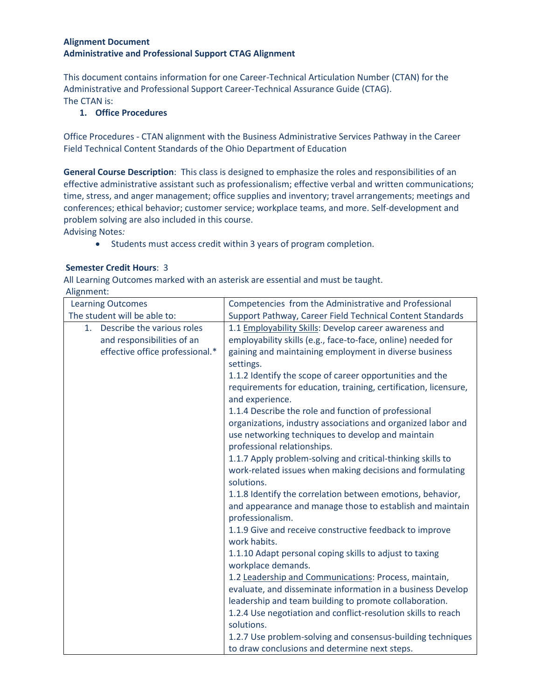## **Alignment Document Administrative and Professional Support CTAG Alignment**

This document contains information for one Career-Technical Articulation Number (CTAN) for the Administrative and Professional Support Career-Technical Assurance Guide (CTAG). The CTAN is:

## **1. Office Procedures**

Office Procedures - CTAN alignment with the Business Administrative Services Pathway in the Career Field Technical Content Standards of the Ohio Department of Education

**General Course Description**:This class is designed to emphasize the roles and responsibilities of an effective administrative assistant such as professionalism; effective verbal and written communications; time, stress, and anger management; office supplies and inventory; travel arrangements; meetings and conferences; ethical behavior; customer service; workplace teams, and more. Self-development and problem solving are also included in this course.

Advising Notes*:*

• Students must access credit within 3 years of program completion.

## **Semester Credit Hours**: 3

All Learning Outcomes marked with an asterisk are essential and must be taught.

Alignment:

| <b>Learning Outcomes</b>        | Competencies from the Administrative and Professional                         |
|---------------------------------|-------------------------------------------------------------------------------|
| The student will be able to:    | Support Pathway, Career Field Technical Content Standards                     |
| 1. Describe the various roles   | 1.1 Employability Skills: Develop career awareness and                        |
| and responsibilities of an      | employability skills (e.g., face-to-face, online) needed for                  |
| effective office professional.* | gaining and maintaining employment in diverse business                        |
|                                 | settings.                                                                     |
|                                 | 1.1.2 Identify the scope of career opportunities and the                      |
|                                 | requirements for education, training, certification, licensure,               |
|                                 | and experience.                                                               |
|                                 | 1.1.4 Describe the role and function of professional                          |
|                                 | organizations, industry associations and organized labor and                  |
|                                 | use networking techniques to develop and maintain                             |
|                                 | professional relationships.                                                   |
|                                 | 1.1.7 Apply problem-solving and critical-thinking skills to                   |
|                                 | work-related issues when making decisions and formulating                     |
|                                 | solutions.                                                                    |
|                                 | 1.1.8 Identify the correlation between emotions, behavior,                    |
|                                 | and appearance and manage those to establish and maintain<br>professionalism. |
|                                 | 1.1.9 Give and receive constructive feedback to improve                       |
|                                 | work habits.                                                                  |
|                                 | 1.1.10 Adapt personal coping skills to adjust to taxing                       |
|                                 | workplace demands.                                                            |
|                                 | 1.2 Leadership and Communications: Process, maintain,                         |
|                                 | evaluate, and disseminate information in a business Develop                   |
|                                 | leadership and team building to promote collaboration.                        |
|                                 | 1.2.4 Use negotiation and conflict-resolution skills to reach                 |
|                                 | solutions.                                                                    |
|                                 | 1.2.7 Use problem-solving and consensus-building techniques                   |
|                                 | to draw conclusions and determine next steps.                                 |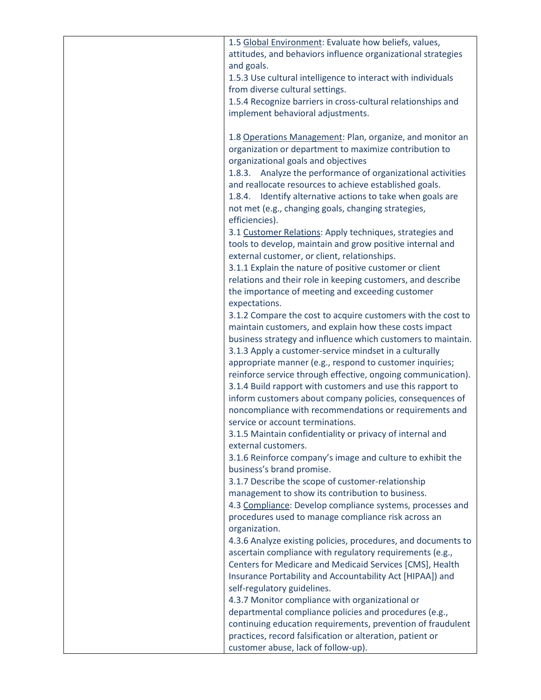| 1.5 Global Environment: Evaluate how beliefs, values,         |
|---------------------------------------------------------------|
| attitudes, and behaviors influence organizational strategies  |
| and goals.                                                    |
| 1.5.3 Use cultural intelligence to interact with individuals  |
| from diverse cultural settings.                               |
| 1.5.4 Recognize barriers in cross-cultural relationships and  |
| implement behavioral adjustments.                             |
|                                                               |
|                                                               |
| 1.8 Operations Management: Plan, organize, and monitor an     |
| organization or department to maximize contribution to        |
| organizational goals and objectives                           |
| 1.8.3. Analyze the performance of organizational activities   |
| and reallocate resources to achieve established goals.        |
| 1.8.4. Identify alternative actions to take when goals are    |
| not met (e.g., changing goals, changing strategies,           |
| efficiencies).                                                |
| 3.1 Customer Relations: Apply techniques, strategies and      |
| tools to develop, maintain and grow positive internal and     |
| external customer, or client, relationships.                  |
| 3.1.1 Explain the nature of positive customer or client       |
| relations and their role in keeping customers, and describe   |
| the importance of meeting and exceeding customer              |
| expectations.                                                 |
| 3.1.2 Compare the cost to acquire customers with the cost to  |
| maintain customers, and explain how these costs impact        |
|                                                               |
| business strategy and influence which customers to maintain.  |
| 3.1.3 Apply a customer-service mindset in a culturally        |
| appropriate manner (e.g., respond to customer inquiries;      |
| reinforce service through effective, ongoing communication).  |
| 3.1.4 Build rapport with customers and use this rapport to    |
| inform customers about company policies, consequences of      |
| noncompliance with recommendations or requirements and        |
| service or account terminations.                              |
| 3.1.5 Maintain confidentiality or privacy of internal and     |
| external customers.                                           |
| 3.1.6 Reinforce company's image and culture to exhibit the    |
| business's brand promise.                                     |
| 3.1.7 Describe the scope of customer-relationship             |
| management to show its contribution to business.              |
| 4.3 Compliance: Develop compliance systems, processes and     |
| procedures used to manage compliance risk across an           |
| organization.                                                 |
| 4.3.6 Analyze existing policies, procedures, and documents to |
| ascertain compliance with regulatory requirements (e.g.,      |
|                                                               |
| Centers for Medicare and Medicaid Services [CMS], Health      |
| Insurance Portability and Accountability Act [HIPAA]) and     |
| self-regulatory guidelines.                                   |
| 4.3.7 Monitor compliance with organizational or               |
| departmental compliance policies and procedures (e.g.,        |
| continuing education requirements, prevention of fraudulent   |
| practices, record falsification or alteration, patient or     |
| customer abuse, lack of follow-up).                           |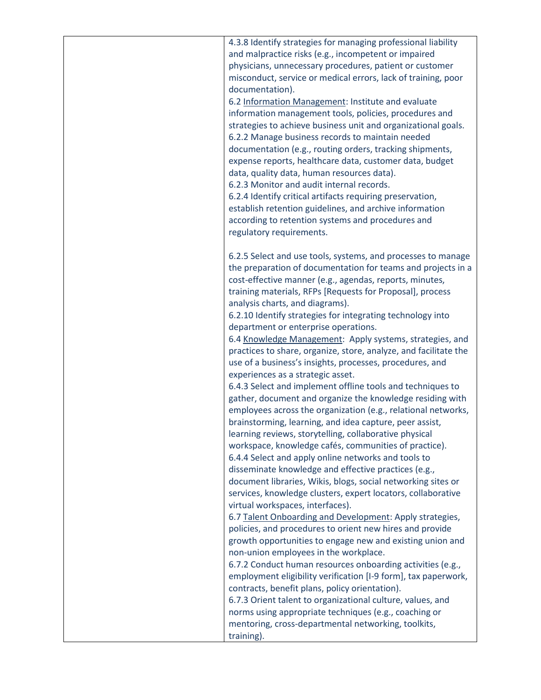| 4.3.8 Identify strategies for managing professional liability    |
|------------------------------------------------------------------|
| and malpractice risks (e.g., incompetent or impaired             |
| physicians, unnecessary procedures, patient or customer          |
| misconduct, service or medical errors, lack of training, poor    |
| documentation).                                                  |
| 6.2 Information Management: Institute and evaluate               |
| information management tools, policies, procedures and           |
| strategies to achieve business unit and organizational goals.    |
| 6.2.2 Manage business records to maintain needed                 |
| documentation (e.g., routing orders, tracking shipments,         |
| expense reports, healthcare data, customer data, budget          |
| data, quality data, human resources data).                       |
| 6.2.3 Monitor and audit internal records.                        |
| 6.2.4 Identify critical artifacts requiring preservation,        |
| establish retention guidelines, and archive information          |
| according to retention systems and procedures and                |
| regulatory requirements.                                         |
|                                                                  |
| 6.2.5 Select and use tools, systems, and processes to manage     |
| the preparation of documentation for teams and projects in a     |
| cost-effective manner (e.g., agendas, reports, minutes,          |
| training materials, RFPs [Requests for Proposal], process        |
| analysis charts, and diagrams).                                  |
| 6.2.10 Identify strategies for integrating technology into       |
| department or enterprise operations.                             |
| 6.4 Knowledge Management: Apply systems, strategies, and         |
| practices to share, organize, store, analyze, and facilitate the |
| use of a business's insights, processes, procedures, and         |
| experiences as a strategic asset.                                |
| 6.4.3 Select and implement offline tools and techniques to       |
| gather, document and organize the knowledge residing with        |
| employees across the organization (e.g., relational networks,    |
| brainstorming, learning, and idea capture, peer assist,          |
| learning reviews, storytelling, collaborative physical           |
| workspace, knowledge cafés, communities of practice).            |
| 6.4.4 Select and apply online networks and tools to              |
| disseminate knowledge and effective practices (e.g.,             |
| document libraries, Wikis, blogs, social networking sites or     |
| services, knowledge clusters, expert locators, collaborative     |
| virtual workspaces, interfaces).                                 |
| 6.7 Talent Onboarding and Development: Apply strategies,         |
| policies, and procedures to orient new hires and provide         |
| growth opportunities to engage new and existing union and        |
| non-union employees in the workplace.                            |
| 6.7.2 Conduct human resources onboarding activities (e.g.,       |
| employment eligibility verification [I-9 form], tax paperwork,   |
| contracts, benefit plans, policy orientation).                   |
| 6.7.3 Orient talent to organizational culture, values, and       |
| norms using appropriate techniques (e.g., coaching or            |
|                                                                  |
| mentoring, cross-departmental networking, toolkits,              |
| training).                                                       |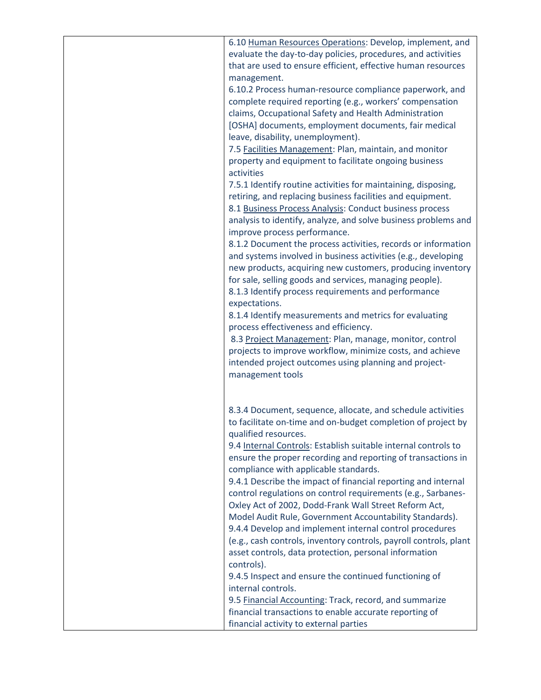| 6.10 Human Resources Operations: Develop, implement, and<br>evaluate the day-to-day policies, procedures, and activities |
|--------------------------------------------------------------------------------------------------------------------------|
| that are used to ensure efficient, effective human resources                                                             |
| management.                                                                                                              |
| 6.10.2 Process human-resource compliance paperwork, and<br>complete required reporting (e.g., workers' compensation      |
| claims, Occupational Safety and Health Administration                                                                    |
| [OSHA] documents, employment documents, fair medical<br>leave, disability, unemployment).                                |
| 7.5 Facilities Management: Plan, maintain, and monitor                                                                   |
| property and equipment to facilitate ongoing business<br>activities                                                      |
| 7.5.1 Identify routine activities for maintaining, disposing,                                                            |
| retiring, and replacing business facilities and equipment.                                                               |
| 8.1 Business Process Analysis: Conduct business process                                                                  |
| analysis to identify, analyze, and solve business problems and                                                           |
| improve process performance.                                                                                             |
| 8.1.2 Document the process activities, records or information                                                            |
| and systems involved in business activities (e.g., developing                                                            |
| new products, acquiring new customers, producing inventory                                                               |
| for sale, selling goods and services, managing people).                                                                  |
| 8.1.3 Identify process requirements and performance<br>expectations.                                                     |
| 8.1.4 Identify measurements and metrics for evaluating                                                                   |
| process effectiveness and efficiency.                                                                                    |
| 8.3 Project Management: Plan, manage, monitor, control                                                                   |
| projects to improve workflow, minimize costs, and achieve                                                                |
| intended project outcomes using planning and project-                                                                    |
| management tools                                                                                                         |
|                                                                                                                          |
| 8.3.4 Document, sequence, allocate, and schedule activities                                                              |
| to facilitate on-time and on-budget completion of project by                                                             |
| qualified resources.                                                                                                     |
| 9.4 Internal Controls: Establish suitable internal controls to                                                           |
| ensure the proper recording and reporting of transactions in                                                             |
| compliance with applicable standards.                                                                                    |
| 9.4.1 Describe the impact of financial reporting and internal                                                            |
| control regulations on control requirements (e.g., Sarbanes-<br>Oxley Act of 2002, Dodd-Frank Wall Street Reform Act,    |
| Model Audit Rule, Government Accountability Standards).                                                                  |
| 9.4.4 Develop and implement internal control procedures                                                                  |
| (e.g., cash controls, inventory controls, payroll controls, plant                                                        |
| asset controls, data protection, personal information                                                                    |
| controls).                                                                                                               |
| 9.4.5 Inspect and ensure the continued functioning of                                                                    |
| internal controls.                                                                                                       |
| 9.5 Financial Accounting: Track, record, and summarize                                                                   |
| financial transactions to enable accurate reporting of                                                                   |
| financial activity to external parties                                                                                   |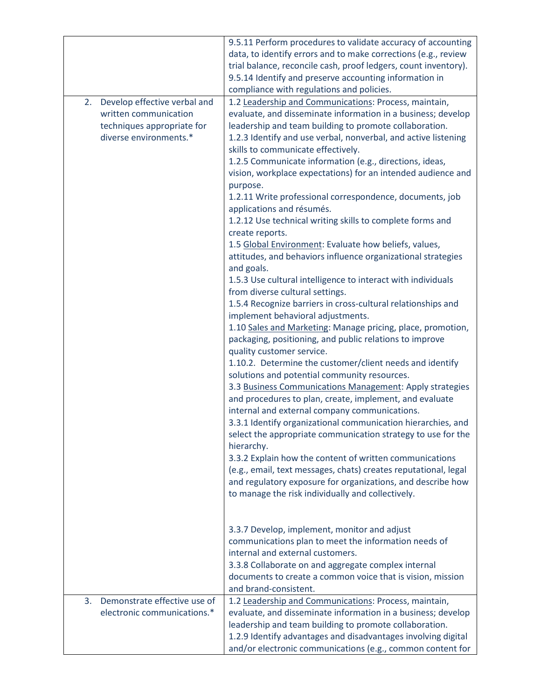|                                                                                                                     | 9.5.11 Perform procedures to validate accuracy of accounting<br>data, to identify errors and to make corrections (e.g., review<br>trial balance, reconcile cash, proof ledgers, count inventory).<br>9.5.14 Identify and preserve accounting information in<br>compliance with regulations and policies.                                                                                                                                                                                                                                                                                                                                                                                                                                                                                                                                                                                                                                                                                                                                                                                                                                                                                                                                                                                                                                                                                                                                                                                                                                                                                                                                                                                                                                                                                          |
|---------------------------------------------------------------------------------------------------------------------|---------------------------------------------------------------------------------------------------------------------------------------------------------------------------------------------------------------------------------------------------------------------------------------------------------------------------------------------------------------------------------------------------------------------------------------------------------------------------------------------------------------------------------------------------------------------------------------------------------------------------------------------------------------------------------------------------------------------------------------------------------------------------------------------------------------------------------------------------------------------------------------------------------------------------------------------------------------------------------------------------------------------------------------------------------------------------------------------------------------------------------------------------------------------------------------------------------------------------------------------------------------------------------------------------------------------------------------------------------------------------------------------------------------------------------------------------------------------------------------------------------------------------------------------------------------------------------------------------------------------------------------------------------------------------------------------------------------------------------------------------------------------------------------------------|
| 2.<br>Develop effective verbal and<br>written communication<br>techniques appropriate for<br>diverse environments.* | 1.2 Leadership and Communications: Process, maintain,<br>evaluate, and disseminate information in a business; develop<br>leadership and team building to promote collaboration.<br>1.2.3 Identify and use verbal, nonverbal, and active listening<br>skills to communicate effectively.<br>1.2.5 Communicate information (e.g., directions, ideas,<br>vision, workplace expectations) for an intended audience and<br>purpose.<br>1.2.11 Write professional correspondence, documents, job<br>applications and résumés.<br>1.2.12 Use technical writing skills to complete forms and<br>create reports.<br>1.5 Global Environment: Evaluate how beliefs, values,<br>attitudes, and behaviors influence organizational strategies<br>and goals.<br>1.5.3 Use cultural intelligence to interact with individuals<br>from diverse cultural settings.<br>1.5.4 Recognize barriers in cross-cultural relationships and<br>implement behavioral adjustments.<br>1.10 Sales and Marketing: Manage pricing, place, promotion,<br>packaging, positioning, and public relations to improve<br>quality customer service.<br>1.10.2. Determine the customer/client needs and identify<br>solutions and potential community resources.<br>3.3 Business Communications Management: Apply strategies<br>and procedures to plan, create, implement, and evaluate<br>internal and external company communications.<br>3.3.1 Identify organizational communication hierarchies, and<br>select the appropriate communication strategy to use for the<br>hierarchy.<br>3.3.2 Explain how the content of written communications<br>(e.g., email, text messages, chats) creates reputational, legal<br>and regulatory exposure for organizations, and describe how<br>to manage the risk individually and collectively. |
|                                                                                                                     | 3.3.7 Develop, implement, monitor and adjust<br>communications plan to meet the information needs of<br>internal and external customers.<br>3.3.8 Collaborate on and aggregate complex internal<br>documents to create a common voice that is vision, mission<br>and brand-consistent.                                                                                                                                                                                                                                                                                                                                                                                                                                                                                                                                                                                                                                                                                                                                                                                                                                                                                                                                                                                                                                                                                                                                                                                                                                                                                                                                                                                                                                                                                                            |
| Demonstrate effective use of<br>3.<br>electronic communications.*                                                   | 1.2 Leadership and Communications: Process, maintain,<br>evaluate, and disseminate information in a business; develop<br>leadership and team building to promote collaboration.<br>1.2.9 Identify advantages and disadvantages involving digital<br>and/or electronic communications (e.g., common content for                                                                                                                                                                                                                                                                                                                                                                                                                                                                                                                                                                                                                                                                                                                                                                                                                                                                                                                                                                                                                                                                                                                                                                                                                                                                                                                                                                                                                                                                                    |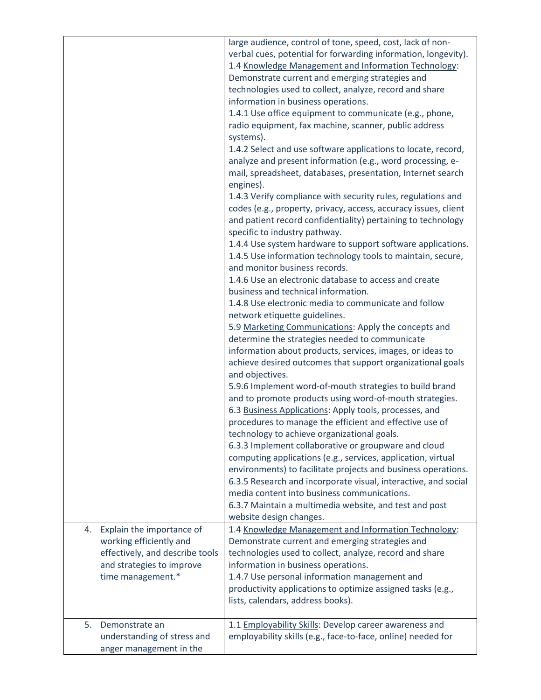|                                                                                                                            | large audience, control of tone, speed, cost, lack of non-<br>verbal cues, potential for forwarding information, longevity).<br>1.4 Knowledge Management and Information Technology:<br>Demonstrate current and emerging strategies and<br>technologies used to collect, analyze, record and share<br>information in business operations.<br>1.4.1 Use office equipment to communicate (e.g., phone,<br>radio equipment, fax machine, scanner, public address<br>systems).<br>1.4.2 Select and use software applications to locate, record,<br>analyze and present information (e.g., word processing, e-<br>mail, spreadsheet, databases, presentation, Internet search<br>engines).<br>1.4.3 Verify compliance with security rules, regulations and<br>codes (e.g., property, privacy, access, accuracy issues, client<br>and patient record confidentiality) pertaining to technology<br>specific to industry pathway.<br>1.4.4 Use system hardware to support software applications.<br>1.4.5 Use information technology tools to maintain, secure,<br>and monitor business records.<br>1.4.6 Use an electronic database to access and create<br>business and technical information.<br>1.4.8 Use electronic media to communicate and follow<br>network etiquette guidelines.<br>5.9 Marketing Communications: Apply the concepts and<br>determine the strategies needed to communicate<br>information about products, services, images, or ideas to<br>achieve desired outcomes that support organizational goals<br>and objectives.<br>5.9.6 Implement word-of-mouth strategies to build brand<br>and to promote products using word-of-mouth strategies.<br>6.3 Business Applications: Apply tools, processes, and<br>procedures to manage the efficient and effective use of<br>technology to achieve organizational goals.<br>6.3.3 Implement collaborative or groupware and cloud<br>computing applications (e.g., services, application, virtual<br>environments) to facilitate projects and business operations.<br>6.3.5 Research and incorporate visual, interactive, and social<br>media content into business communications.<br>6.3.7 Maintain a multimedia website, and test and post<br>website design changes. |
|----------------------------------------------------------------------------------------------------------------------------|------------------------------------------------------------------------------------------------------------------------------------------------------------------------------------------------------------------------------------------------------------------------------------------------------------------------------------------------------------------------------------------------------------------------------------------------------------------------------------------------------------------------------------------------------------------------------------------------------------------------------------------------------------------------------------------------------------------------------------------------------------------------------------------------------------------------------------------------------------------------------------------------------------------------------------------------------------------------------------------------------------------------------------------------------------------------------------------------------------------------------------------------------------------------------------------------------------------------------------------------------------------------------------------------------------------------------------------------------------------------------------------------------------------------------------------------------------------------------------------------------------------------------------------------------------------------------------------------------------------------------------------------------------------------------------------------------------------------------------------------------------------------------------------------------------------------------------------------------------------------------------------------------------------------------------------------------------------------------------------------------------------------------------------------------------------------------------------------------------------------------------------------------------------------------------------------------------------------------------|
| Explain the importance of<br>4.<br>working efficiently and<br>effectively, and describe tools<br>and strategies to improve | 1.4 Knowledge Management and Information Technology:<br>Demonstrate current and emerging strategies and<br>technologies used to collect, analyze, record and share<br>information in business operations.                                                                                                                                                                                                                                                                                                                                                                                                                                                                                                                                                                                                                                                                                                                                                                                                                                                                                                                                                                                                                                                                                                                                                                                                                                                                                                                                                                                                                                                                                                                                                                                                                                                                                                                                                                                                                                                                                                                                                                                                                          |
| time management.*                                                                                                          | 1.4.7 Use personal information management and<br>productivity applications to optimize assigned tasks (e.g.,<br>lists, calendars, address books).                                                                                                                                                                                                                                                                                                                                                                                                                                                                                                                                                                                                                                                                                                                                                                                                                                                                                                                                                                                                                                                                                                                                                                                                                                                                                                                                                                                                                                                                                                                                                                                                                                                                                                                                                                                                                                                                                                                                                                                                                                                                                  |
| 5.<br>Demonstrate an<br>understanding of stress and<br>anger management in the                                             | 1.1 Employability Skills: Develop career awareness and<br>employability skills (e.g., face-to-face, online) needed for                                                                                                                                                                                                                                                                                                                                                                                                                                                                                                                                                                                                                                                                                                                                                                                                                                                                                                                                                                                                                                                                                                                                                                                                                                                                                                                                                                                                                                                                                                                                                                                                                                                                                                                                                                                                                                                                                                                                                                                                                                                                                                             |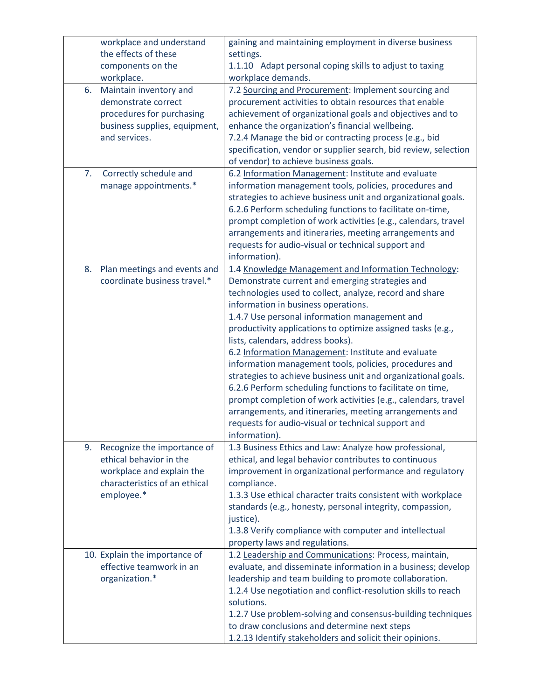|    | workplace and understand<br>the effects of these | gaining and maintaining employment in diverse business                                                      |
|----|--------------------------------------------------|-------------------------------------------------------------------------------------------------------------|
|    | components on the                                | settings.<br>1.1.10 Adapt personal coping skills to adjust to taxing                                        |
|    | workplace.                                       | workplace demands.                                                                                          |
| 6. | Maintain inventory and                           | 7.2 Sourcing and Procurement: Implement sourcing and                                                        |
|    | demonstrate correct                              | procurement activities to obtain resources that enable                                                      |
|    | procedures for purchasing                        | achievement of organizational goals and objectives and to                                                   |
|    | business supplies, equipment,                    | enhance the organization's financial wellbeing.                                                             |
|    | and services.                                    | 7.2.4 Manage the bid or contracting process (e.g., bid                                                      |
|    |                                                  | specification, vendor or supplier search, bid review, selection                                             |
|    |                                                  | of vendor) to achieve business goals.                                                                       |
| 7. | Correctly schedule and                           | 6.2 Information Management: Institute and evaluate                                                          |
|    | manage appointments.*                            | information management tools, policies, procedures and                                                      |
|    |                                                  | strategies to achieve business unit and organizational goals.                                               |
|    |                                                  | 6.2.6 Perform scheduling functions to facilitate on-time,                                                   |
|    |                                                  | prompt completion of work activities (e.g., calendars, travel                                               |
|    |                                                  | arrangements and itineraries, meeting arrangements and                                                      |
|    |                                                  | requests for audio-visual or technical support and                                                          |
|    |                                                  | information).                                                                                               |
| 8. | Plan meetings and events and                     | 1.4 Knowledge Management and Information Technology:                                                        |
|    | coordinate business travel.*                     | Demonstrate current and emerging strategies and                                                             |
|    |                                                  | technologies used to collect, analyze, record and share                                                     |
|    |                                                  | information in business operations.                                                                         |
|    |                                                  | 1.4.7 Use personal information management and                                                               |
|    |                                                  | productivity applications to optimize assigned tasks (e.g.,                                                 |
|    |                                                  | lists, calendars, address books).<br>6.2 Information Management: Institute and evaluate                     |
|    |                                                  | information management tools, policies, procedures and                                                      |
|    |                                                  | strategies to achieve business unit and organizational goals.                                               |
|    |                                                  | 6.2.6 Perform scheduling functions to facilitate on time,                                                   |
|    |                                                  | prompt completion of work activities (e.g., calendars, travel                                               |
|    |                                                  | arrangements, and itineraries, meeting arrangements and                                                     |
|    |                                                  | requests for audio-visual or technical support and                                                          |
|    |                                                  | information).                                                                                               |
| 9. | Recognize the importance of                      | 1.3 Business Ethics and Law: Analyze how professional,                                                      |
|    | ethical behavior in the                          | ethical, and legal behavior contributes to continuous                                                       |
|    | workplace and explain the                        | improvement in organizational performance and regulatory                                                    |
|    | characteristics of an ethical                    | compliance.                                                                                                 |
|    | employee.*                                       | 1.3.3 Use ethical character traits consistent with workplace                                                |
|    |                                                  | standards (e.g., honesty, personal integrity, compassion,                                                   |
|    |                                                  | justice).                                                                                                   |
|    |                                                  | 1.3.8 Verify compliance with computer and intellectual                                                      |
|    |                                                  | property laws and regulations.                                                                              |
|    | 10. Explain the importance of                    | 1.2 Leadership and Communications: Process, maintain,                                                       |
|    | effective teamwork in an                         | evaluate, and disseminate information in a business; develop                                                |
|    | organization.*                                   | leadership and team building to promote collaboration.                                                      |
|    |                                                  | 1.2.4 Use negotiation and conflict-resolution skills to reach                                               |
|    |                                                  | solutions.                                                                                                  |
|    |                                                  | 1.2.7 Use problem-solving and consensus-building techniques<br>to draw conclusions and determine next steps |
|    |                                                  | 1.2.13 Identify stakeholders and solicit their opinions.                                                    |
|    |                                                  |                                                                                                             |